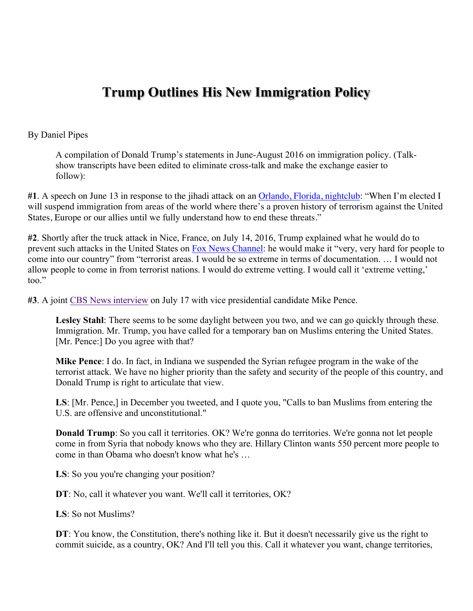## **Trump Outlines His New Immigration Policy**

## By Daniel Pipes

A compilation of Donald Trump's statements in June-August 2016 on immigration policy. (Talkshow transcripts have been edited to eliminate cross-talk and make the exchange easier to follow):

**#1**. A speech on June 13 in response to the jihadi attack on an Orlando, Florida, nightclub: "When I'm elected I will suspend immigration from areas of the world where there's a proven history of terrorism against the United States, Europe or our allies until we fully understand how to end these threats."

**#2**. Shortly after the truck attack in Nice, France, on July 14, 2016, Trump explained what he would do to prevent such attacks in the United States on Fox News Channel: he would make it "very, very hard for people to come into our country" from "terrorist areas. I would be so extreme in terms of documentation. … I would not allow people to come in from terrorist nations. I would do extreme vetting. I would call it 'extreme vetting,' too."

**#3**. A joint CBS News interview on July 17 with vice presidential candidate Mike Pence.

Lesley Stahl: There seems to be some daylight between you two, and we can go quickly through these. Immigration. Mr. Trump, you have called for a temporary ban on Muslims entering the United States. [Mr. Pence:] Do you agree with that?

**Mike Pence**: I do. In fact, in Indiana we suspended the Syrian refugee program in the wake of the terrorist attack. We have no higher priority than the safety and security of the people of this country, and Donald Trump is right to articulate that view.

**LS**: [Mr. Pence,] in December you tweeted, and I quote you, "Calls to ban Muslims from entering the U.S. are offensive and unconstitutional."

**Donald Trump**: So you call it territories. OK? We're gonna do territories. We're gonna not let people come in from Syria that nobody knows who they are. Hillary Clinton wants 550 percent more people to come in than Obama who doesn't know what he's …

**LS**: So you you're changing your position?

**DT**: No, call it whatever you want. We'll call it territories, OK?

**LS**: So not Muslims?

**DT**: You know, the Constitution, there's nothing like it. But it doesn't necessarily give us the right to commit suicide, as a country, OK? And I'll tell you this. Call it whatever you want, change territories,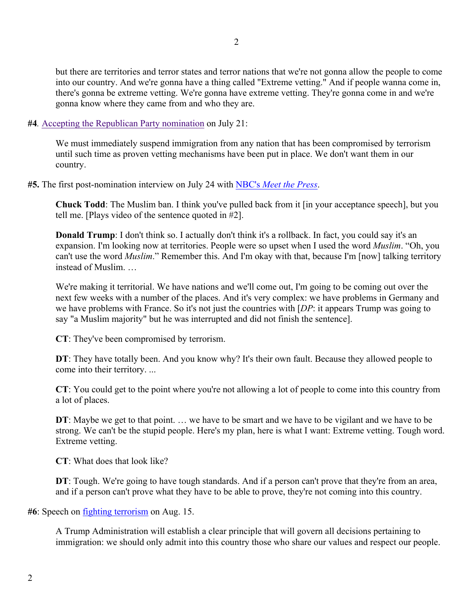but there are territories and terror states and terror nations that we're not gonna allow the people to come into our country. And we're gonna have a thing called "Extreme vetting." And if people wanna come in, there's gonna be extreme vetting. We're gonna have extreme vetting. They're gonna come in and we're gonna know where they came from and who they are.

**#4***.* Accepting the Republican Party nomination on July 21:

We must immediately suspend immigration from any nation that has been compromised by terrorism until such time as proven vetting mechanisms have been put in place. We don't want them in our country.

**#5.** The first post-nomination interview on July 24 with NBC's *Meet the Press*.

**Chuck Todd**: The Muslim ban. I think you've pulled back from it [in your acceptance speech], but you tell me. [Plays video of the sentence quoted in #2].

**Donald Trump**: I don't think so. I actually don't think it's a rollback. In fact, you could say it's an expansion. I'm looking now at territories. People were so upset when I used the word *Muslim*. "Oh, you can't use the word *Muslim*." Remember this. And I'm okay with that, because I'm [now] talking territory instead of Muslim. …

We're making it territorial. We have nations and we'll come out, I'm going to be coming out over the next few weeks with a number of the places. And it's very complex: we have problems in Germany and we have problems with France. So it's not just the countries with [*DP*: it appears Trump was going to say "a Muslim majority" but he was interrupted and did not finish the sentence].

**CT**: They've been compromised by terrorism.

**DT**: They have totally been. And you know why? It's their own fault. Because they allowed people to come into their territory. ...

**CT**: You could get to the point where you're not allowing a lot of people to come into this country from a lot of places.

**DT**: Maybe we get to that point. ... we have to be smart and we have to be vigilant and we have to be strong. We can't be the stupid people. Here's my plan, here is what I want: Extreme vetting. Tough word. Extreme vetting.

**CT**: What does that look like?

**DT**: Tough. We're going to have tough standards. And if a person can't prove that they're from an area, and if a person can't prove what they have to be able to prove, they're not coming into this country.

**#6**: Speech on fighting terrorism on Aug. 15.

A Trump Administration will establish a clear principle that will govern all decisions pertaining to immigration: we should only admit into this country those who share our values and respect our people.